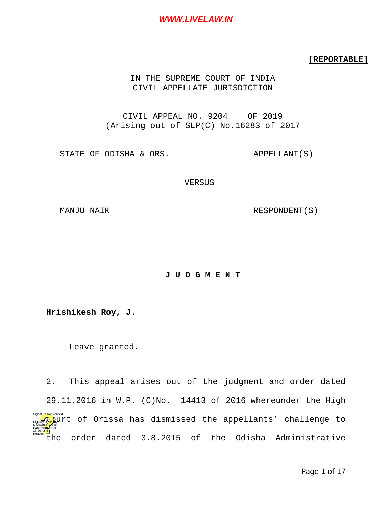### **[REPORTABLE]**

## IN THE SUPREME COURT OF INDIA CIVIL APPELLATE JURISDICTION

CIVIL APPEAL NO. 9204 OF 2019 (Arising out of SLP(C) No.16283 of 2017

STATE OF ODISHA & ORS. APPELLANT(S)

**VERSUS** 

MANJU NAIK RESPONDENT(S)

### **J U D G M E N T**

# **Hrishikesh Roy, J.**

Leave granted.

2. This appeal arises out of the judgment and order dated 29.11.2016 in W.P. (C)No. 14413 of 2016 whereunder the High  $\mathbb{C}$  ,  $\mathbb{C}$  )urt of Orissa has dismissed the appellants' challenge to the order dated 3.8.2015 of the Odisha Administrative MÁHABI<mark>R SI</mark>NGH Date: 2019.12.04 13:20:42<sup>1S</sup> Reason: Signature Not Verified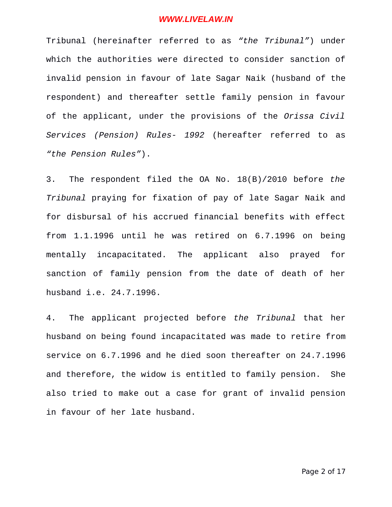Tribunal (hereinafter referred to as *"the Tribunal"*) under which the authorities were directed to consider sanction of invalid pension in favour of late Sagar Naik (husband of the respondent) and thereafter settle family pension in favour of the applicant, under the provisions of the *Orissa Civil Services (Pension) Rules- 1992* (hereafter referred to as *"the Pension Rules"*).

3. The respondent filed the OA No. 18(B)/2010 before *the Tribunal* praying for fixation of pay of late Sagar Naik and for disbursal of his accrued financial benefits with effect from 1.1.1996 until he was retired on 6.7.1996 on being mentally incapacitated. The applicant also prayed for sanction of family pension from the date of death of her husband i.e. 24.7.1996.

4. The applicant projected before *the Tribunal* that her husband on being found incapacitated was made to retire from service on 6.7.1996 and he died soon thereafter on 24.7.1996 and therefore, the widow is entitled to family pension. She also tried to make out a case for grant of invalid pension in favour of her late husband.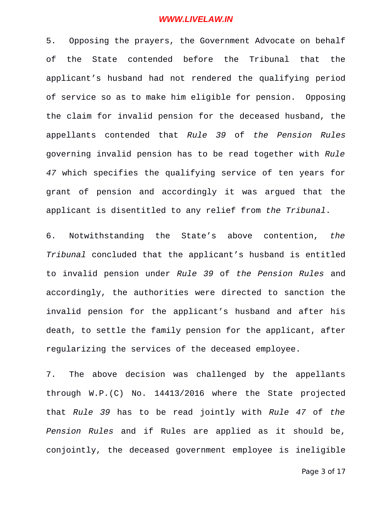5. Opposing the prayers, the Government Advocate on behalf of the State contended before the Tribunal that the applicant's husband had not rendered the qualifying period of service so as to make him eligible for pension. Opposing the claim for invalid pension for the deceased husband, the appellants contended that *Rule 39* of *the Pension Rules* governing invalid pension has to be read together with *Rule 47* which specifies the qualifying service of ten years for grant of pension and accordingly it was argued that the applicant is disentitled to any relief from *the Tribunal*.

6. Notwithstanding the State's above contention, *the Tribunal* concluded that the applicant's husband is entitled to invalid pension under *Rule 39* of *the Pension Rules* and accordingly, the authorities were directed to sanction the invalid pension for the applicant's husband and after his death, to settle the family pension for the applicant, after regularizing the services of the deceased employee.

7. The above decision was challenged by the appellants through W.P.(C) No. 14413/2016 where the State projected that *Rule 39* has to be read jointly with *Rule 47* of *the Pension Rules* and if Rules are applied as it should be, conjointly, the deceased government employee is ineligible

Page 3 of 17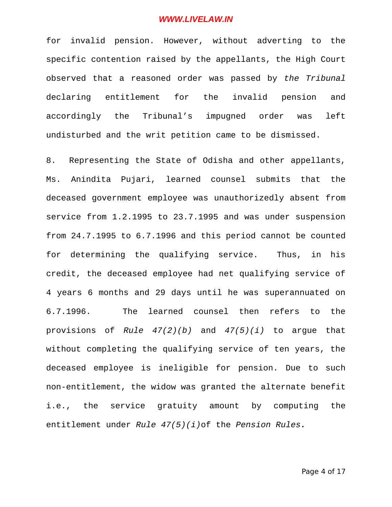for invalid pension. However, without adverting to the specific contention raised by the appellants, the High Court observed that a reasoned order was passed by *the Tribunal* declaring entitlement for the invalid pension and accordingly the Tribunal's impugned order was left undisturbed and the writ petition came to be dismissed.

8. Representing the State of Odisha and other appellants, Ms. Anindita Pujari, learned counsel submits that the deceased government employee was unauthorizedly absent from service from 1.2.1995 to 23.7.1995 and was under suspension from 24.7.1995 to 6.7.1996 and this period cannot be counted for determining the qualifying service. Thus, in his credit, the deceased employee had net qualifying service of 4 years 6 months and 29 days until he was superannuated on 6.7.1996. The learned counsel then refers to the provisions of *Rule 47(2)(b)* and *47(5)(i)* to argue that without completing the qualifying service of ten years, the deceased employee is ineligible for pension. Due to such non-entitlement, the widow was granted the alternate benefit i.e., the service gratuity amount by computing the entitlement under *Rule 47(5)(i)*of the *Pension Rules.*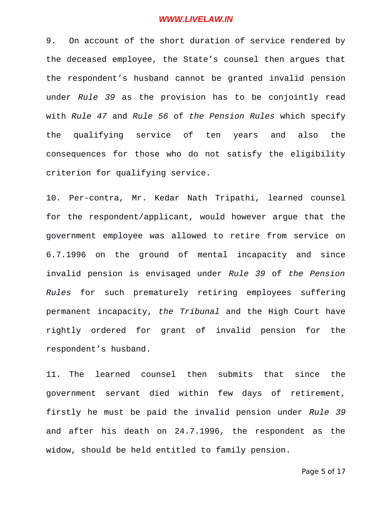9. On account of the short duration of service rendered by the deceased employee, the State's counsel then argues that the respondent's husband cannot be granted invalid pension under *Rule 39* as the provision has to be conjointly read with *Rule 47* and *Rule 56* of *the Pension Rules* which specify the qualifying service of ten years and also the consequences for those who do not satisfy the eligibility criterion for qualifying service.

10. Per-contra, Mr. Kedar Nath Tripathi, learned counsel for the respondent/applicant, would however argue that the government employee was allowed to retire from service on 6.7.1996 on the ground of mental incapacity and since invalid pension is envisaged under *Rule 39* of *the Pension Rules* for such prematurely retiring employees suffering permanent incapacity, *the Tribunal* and the High Court have rightly ordered for grant of invalid pension for the respondent's husband.

11. The learned counsel then submits that since the government servant died within few days of retirement, firstly he must be paid the invalid pension under *Rule 39* and after his death on 24.7.1996, the respondent as the widow, should be held entitled to family pension.

Page 5 of 17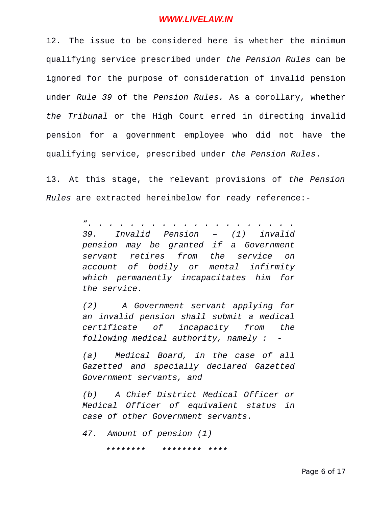12. The issue to be considered here is whether the minimum qualifying service prescribed under *the Pension Rules* can be ignored for the purpose of consideration of invalid pension under *Rule 39* of the *Pension Rules.* As a corollary, whether *the Tribunal* or the High Court erred in directing invalid pension for a government employee who did not have the qualifying service, prescribed under *the Pension Rules*.

13. At this stage, the relevant provisions of *the Pension Rules* are extracted hereinbelow for ready reference:-

> *". . . . . . . . . . . . . . . . . . . . 39. Invalid Pension – (1) invalid pension may be granted if a Government servant retires from the service on account of bodily or mental infirmity which permanently incapacitates him for the service.*

> *(2) A Government servant applying for an invalid pension shall submit a medical certificate of incapacity from the following medical authority, namely : -*

> *(a) Medical Board, in the case of all Gazetted and specially declared Gazetted Government servants, and*

> *(b) A Chief District Medical Officer or Medical Officer of equivalent status in case of other Government servants.*

*47. Amount of pension (1)* 

*\*\*\*\*\*\*\*\* \*\*\*\*\*\*\*\* \*\*\*\**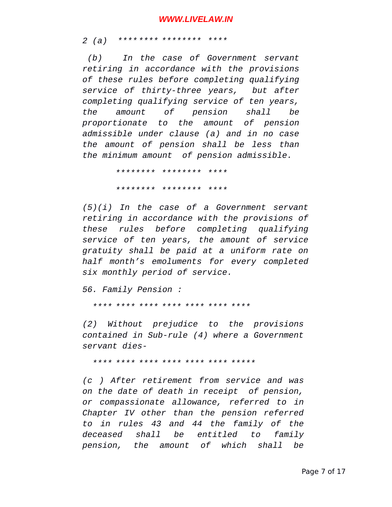*2 (a) \*\*\*\*\*\*\*\* \*\*\*\*\*\*\*\* \*\*\*\** 

 *(b) In the case of Government servant retiring in accordance with the provisions of these rules before completing qualifying service of thirty-three years, but after completing qualifying service of ten years, the amount of pension shall be proportionate to the amount of pension admissible under clause (a) and in no case the amount of pension shall be less than the minimum amount of pension admissible.*

> *\*\*\*\*\*\*\*\* \*\*\*\*\*\*\*\* \*\*\*\* \*\*\*\*\*\*\*\* \*\*\*\*\*\*\*\* \*\*\*\**

*(5)(i) In the case of a Government servant retiring in accordance with the provisions of these rules before completing qualifying service of ten years, the amount of service gratuity shall be paid at a uniform rate on half month's emoluments for every completed six monthly period of service.*

*56. Family Pension :*

*\*\*\*\* \*\*\*\* \*\*\*\* \*\*\*\* \*\*\*\* \*\*\*\* \*\*\*\**

*(2) Without prejudice to the provisions contained in Sub-rule (4) where a Government servant dies-*

*\*\*\*\* \*\*\*\* \*\*\*\* \*\*\*\* \*\*\*\* \*\*\*\* \*\*\*\*\**

*(c ) After retirement from service and was on the date of death in receipt of pension, or compassionate allowance, referred to in Chapter IV other than the pension referred to in rules 43 and 44 the family of the deceased shall be entitled to family pension, the amount of which shall be*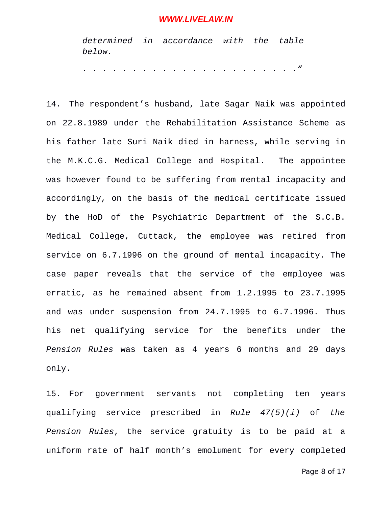*determined in accordance with the table below.* 

*. . . . . . . . . . . . . . . . . . . . . ."*

14. The respondent's husband, late Sagar Naik was appointed on 22.8.1989 under the Rehabilitation Assistance Scheme as his father late Suri Naik died in harness, while serving in the M.K.C.G. Medical College and Hospital. The appointee was however found to be suffering from mental incapacity and accordingly, on the basis of the medical certificate issued by the HoD of the Psychiatric Department of the S.C.B. Medical College, Cuttack, the employee was retired from service on 6.7.1996 on the ground of mental incapacity. The case paper reveals that the service of the employee was erratic, as he remained absent from 1.2.1995 to 23.7.1995 and was under suspension from 24.7.1995 to 6.7.1996. Thus his net qualifying service for the benefits under the *Pension Rules* was taken as 4 years 6 months and 29 days only.

15. For government servants not completing ten years qualifying service prescribed in *Rule 47(5)(i)* of *the Pension Rules*, the service gratuity is to be paid at a uniform rate of half month's emolument for every completed

Page 8 of 17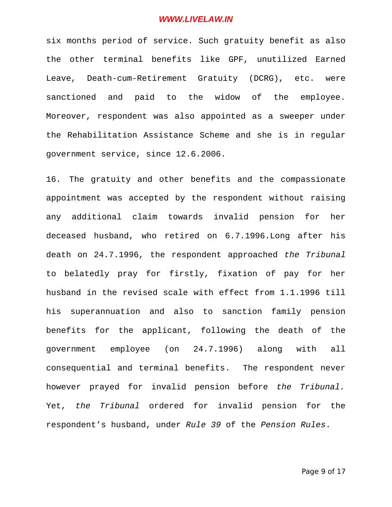six months period of service. Such gratuity benefit as also the other terminal benefits like GPF, unutilized Earned Leave, Death-cum-Retirement Gratuity (DCRG), etc. were sanctioned and paid to the widow of the employee. Moreover, respondent was also appointed as a sweeper under the Rehabilitation Assistance Scheme and she is in regular government service, since 12.6.2006.

16. The gratuity and other benefits and the compassionate appointment was accepted by the respondent without raising any additional claim towards invalid pension for her deceased husband, who retired on 6.7.1996.Long after his death on 24.7.1996, the respondent approached *the Tribunal* to belatedly pray for firstly, fixation of pay for her husband in the revised scale with effect from 1.1.1996 till his superannuation and also to sanction family pension benefits for the applicant, following the death of the government employee (on 24.7.1996) along with all consequential and terminal benefits. The respondent never however prayed for invalid pension before *the Tribunal.* Yet, *the Tribunal* ordered for invalid pension for the respondent's husband, under *Rule 39* of the *Pension Rules*.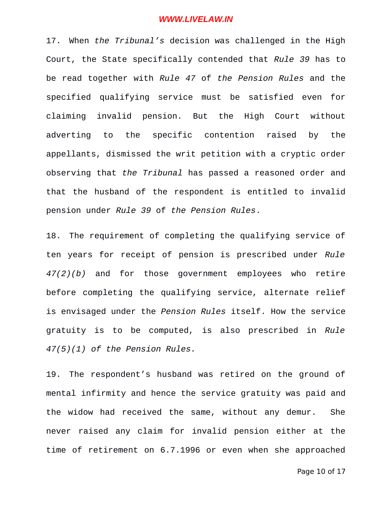17. When *the Tribunal's* decision was challenged in the High Court, the State specifically contended that *Rule 39* has to be read together with *Rule 47* of *the Pension Rules* and the specified qualifying service must be satisfied even for claiming invalid pension. But the High Court without adverting to the specific contention raised by the appellants, dismissed the writ petition with a cryptic order observing that *the Tribunal* has passed a reasoned order and that the husband of the respondent is entitled to invalid pension under *Rule 39* of *the Pension Rules*.

18. The requirement of completing the qualifying service of ten years for receipt of pension is prescribed under *Rule 47(2)(b)* and for those government employees who retire before completing the qualifying service, alternate relief is envisaged under the *Pension Rules* itself. How the service gratuity is to be computed, is also prescribed in *Rule 47(5)(1) of the Pension Rules.* 

19. The respondent's husband was retired on the ground of mental infirmity and hence the service gratuity was paid and the widow had received the same, without any demur. She never raised any claim for invalid pension either at the time of retirement on 6.7.1996 or even when she approached

Page 10 of 17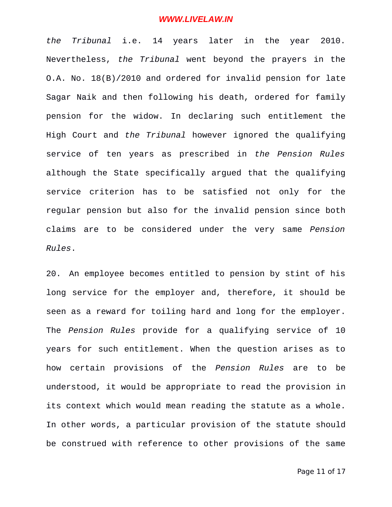*the Tribunal* i.e. 14 years later in the year 2010. Nevertheless, *the Tribunal* went beyond the prayers in the O.A. No. 18(B)/2010 and ordered for invalid pension for late Sagar Naik and then following his death, ordered for family pension for the widow. In declaring such entitlement the High Court and *the Tribunal* however ignored the qualifying service of ten years as prescribed in *the Pension Rules* although the State specifically argued that the qualifying service criterion has to be satisfied not only for the regular pension but also for the invalid pension since both claims are to be considered under the very same *Pension Rules*.

20. An employee becomes entitled to pension by stint of his long service for the employer and, therefore, it should be seen as a reward for toiling hard and long for the employer. The *Pension Rules* provide for a qualifying service of 10 years for such entitlement. When the question arises as to how certain provisions of the *Pension Rules* are to be understood, it would be appropriate to read the provision in its context which would mean reading the statute as a whole. In other words, a particular provision of the statute should be construed with reference to other provisions of the same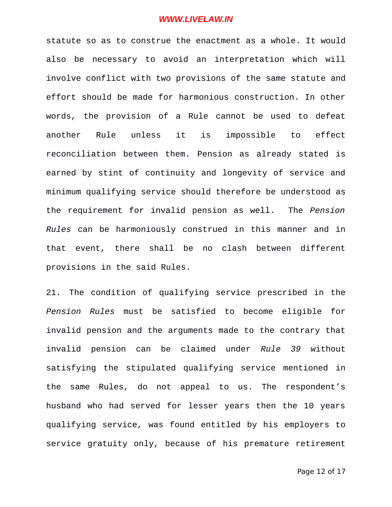statute so as to construe the enactment as a whole. It would also be necessary to avoid an interpretation which will involve conflict with two provisions of the same statute and effort should be made for harmonious construction. In other words, the provision of a Rule cannot be used to defeat another Rule unless it is impossible to effect reconciliation between them. Pension as already stated is earned by stint of continuity and longevity of service and minimum qualifying service should therefore be understood as the requirement for invalid pension as well. The *Pension Rules* can be harmoniously construed in this manner and in that event, there shall be no clash between different provisions in the said Rules.

21. The condition of qualifying service prescribed in the *Pension Rules* must be satisfied to become eligible for invalid pension and the arguments made to the contrary that invalid pension can be claimed under *Rule 39* without satisfying the stipulated qualifying service mentioned in the same Rules, do not appeal to us. The respondent's husband who had served for lesser years then the 10 years qualifying service, was found entitled by his employers to service gratuity only, because of his premature retirement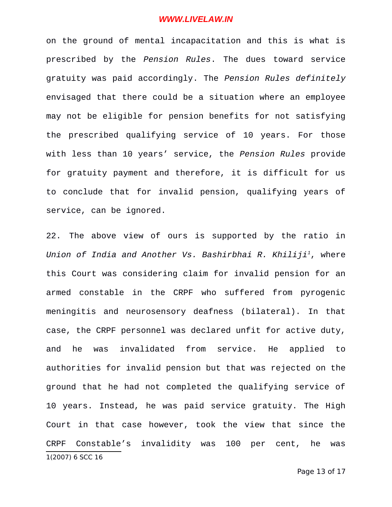on the ground of mental incapacitation and this is what is prescribed by the *Pension Rules*. The dues toward service gratuity was paid accordingly. The *Pension Rules definitely* envisaged that there could be a situation where an employee may not be eligible for pension benefits for not satisfying the prescribed qualifying service of 10 years. For those with less than 10 years' service, the *Pension Rules* provide for gratuity payment and therefore, it is difficult for us to conclude that for invalid pension, qualifying years of service, can be ignored.

<span id="page-12-0"></span>22. The above view of ours is supported by the ratio in *Union of India and Another Vs. Bashirbhai R. Khiliji[1](#page-12-0)*, where this Court was considering claim for invalid pension for an armed constable in the CRPF who suffered from pyrogenic meningitis and neurosensory deafness (bilateral). In that case, the CRPF personnel was declared unfit for active duty, and he was invalidated from service. He applied to authorities for invalid pension but that was rejected on the ground that he had not completed the qualifying service of 10 years. Instead, he was paid service gratuity. The High Court in that case however, took the view that since the CRPF Constable's invalidity was 100 per cent, he was 1(2007) 6 SCC 16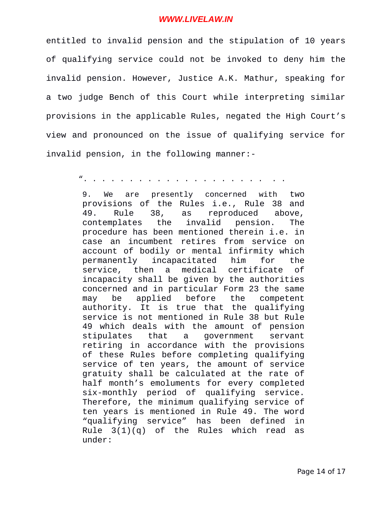entitled to invalid pension and the stipulation of 10 years of qualifying service could not be invoked to deny him the invalid pension. However, Justice A.K. Mathur, speaking for a two judge Bench of this Court while interpreting similar provisions in the applicable Rules, negated the High Court's view and pronounced on the issue of qualifying service for invalid pension, in the following manner:-

". . . . . . . . . . . . . . . . . . . . . .

9. We are presently concerned with two provisions of the Rules i.e., Rule 38 and 49. Rule 38, as reproduced above, contemplates the invalid pension. The procedure has been mentioned therein i.e. in case an incumbent retires from service on account of bodily or mental infirmity which permanently incapacitated him for the service, then a medical certificate of incapacity shall be given by the authorities concerned and in particular Form 23 the same may be applied before the competent authority. It is true that the qualifying service is not mentioned in Rule 38 but Rule 49 which deals with the amount of pension stipulates that a government servant retiring in accordance with the provisions of these Rules before completing qualifying service of ten years, the amount of service gratuity shall be calculated at the rate of half month's emoluments for every completed six-monthly period of qualifying service. Therefore, the minimum qualifying service of ten years is mentioned in Rule 49. The word "qualifying service" has been defined in Rule 3(1)(q) of the Rules which read as under: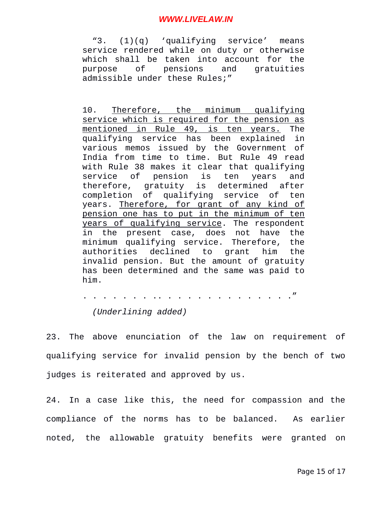"3. (1)(q) 'qualifying service' means service rendered while on duty or otherwise which shall be taken into account for the purpose of pensions and gratuities admissible under these Rules;"

10. Therefore, the minimum qualifying service which is required for the pension as mentioned in Rule 49, is ten years. The qualifying service has been explained in various memos issued by the Government of India from time to time. But Rule 49 read with Rule 38 makes it clear that qualifying service of pension is ten years and therefore, gratuity is determined after completion of qualifying service of ten years. Therefore, for grant of any kind of pension one has to put in the minimum of ten years of qualifying service. The respondent in the present case, does not have the minimum qualifying service. Therefore, the authorities declined to grant him the invalid pension. But the amount of gratuity has been determined and the same was paid to him.

. . . . . . . .. . . . . . . . . . . . . ." *(Underlining added)*

23. The above enunciation of the law on requirement of qualifying service for invalid pension by the bench of two judges is reiterated and approved by us.

24. In a case like this, the need for compassion and the compliance of the norms has to be balanced. As earlier noted, the allowable gratuity benefits were granted on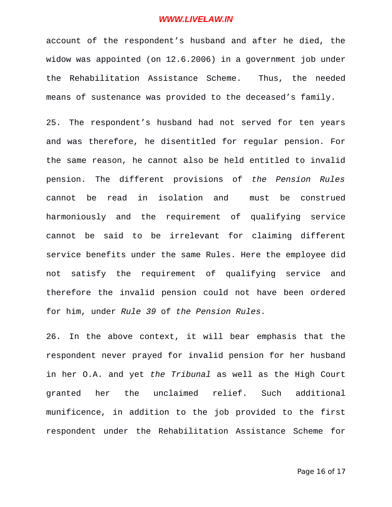account of the respondent's husband and after he died, the widow was appointed (on 12.6.2006) in a government job under the Rehabilitation Assistance Scheme. Thus, the needed means of sustenance was provided to the deceased's family.

25. The respondent's husband had not served for ten years and was therefore, he disentitled for regular pension. For the same reason, he cannot also be held entitled to invalid pension. The different provisions of *the Pension Rules* cannot be read in isolation and must be construed harmoniously and the requirement of qualifying service cannot be said to be irrelevant for claiming different service benefits under the same Rules. Here the employee did not satisfy the requirement of qualifying service and therefore the invalid pension could not have been ordered for him, under *Rule 39* of *the Pension Rules.*

26. In the above context, it will bear emphasis that the respondent never prayed for invalid pension for her husband in her O.A. and yet *the Tribunal* as well as the High Court granted her the unclaimed relief. Such additional munificence, in addition to the job provided to the first respondent under the Rehabilitation Assistance Scheme for